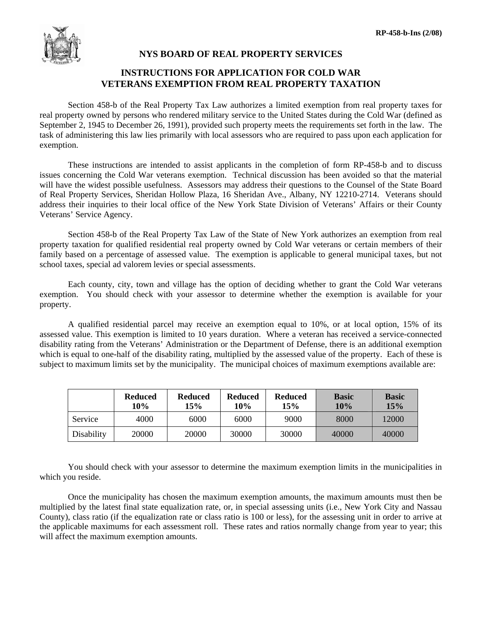

## **NYS BOARD OF REAL PROPERTY SERVICES**

## **INSTRUCTIONS FOR APPLICATION FOR COLD WAR VETERANS EXEMPTION FROM REAL PROPERTY TAXATION**

 Section 458-b of the Real Property Tax Law authorizes a limited exemption from real property taxes for real property owned by persons who rendered military service to the United States during the Cold War (defined as September 2, 1945 to December 26, 1991), provided such property meets the requirements set forth in the law. The task of administering this law lies primarily with local assessors who are required to pass upon each application for exemption.

 These instructions are intended to assist applicants in the completion of form RP-458-b and to discuss issues concerning the Cold War veterans exemption. Technical discussion has been avoided so that the material will have the widest possible usefulness. Assessors may address their questions to the Counsel of the State Board of Real Property Services, Sheridan Hollow Plaza, 16 Sheridan Ave., Albany, NY 12210-2714. Veterans should address their inquiries to their local office of the New York State Division of Veterans' Affairs or their County Veterans' Service Agency.

 Section 458-b of the Real Property Tax Law of the State of New York authorizes an exemption from real property taxation for qualified residential real property owned by Cold War veterans or certain members of their family based on a percentage of assessed value. The exemption is applicable to general municipal taxes, but not school taxes, special ad valorem levies or special assessments.

 Each county, city, town and village has the option of deciding whether to grant the Cold War veterans exemption. You should check with your assessor to determine whether the exemption is available for your property.

 A qualified residential parcel may receive an exemption equal to 10%, or at local option, 15% of its assessed value. This exemption is limited to 10 years duration. Where a veteran has received a service-connected disability rating from the Veterans' Administration or the Department of Defense, there is an additional exemption which is equal to one-half of the disability rating, multiplied by the assessed value of the property. Each of these is subject to maximum limits set by the municipality. The municipal choices of maximum exemptions available are:

|            | <b>Reduced</b><br>10% | <b>Reduced</b><br>15% | <b>Reduced</b><br>10% | <b>Reduced</b><br>15% | <b>Basic</b><br>10% | <b>Basic</b><br>15% |
|------------|-----------------------|-----------------------|-----------------------|-----------------------|---------------------|---------------------|
| Service    | 4000                  | 6000                  | 6000                  | 9000                  | 8000                | 12000               |
| Disability | 20000                 | 20000                 | 30000                 | 30000                 | 40000               | 40000               |

 You should check with your assessor to determine the maximum exemption limits in the municipalities in which you reside.

 Once the municipality has chosen the maximum exemption amounts, the maximum amounts must then be multiplied by the latest final state equalization rate, or, in special assessing units (i.e., New York City and Nassau County), class ratio (if the equalization rate or class ratio is 100 or less), for the assessing unit in order to arrive at the applicable maximums for each assessment roll. These rates and ratios normally change from year to year; this will affect the maximum exemption amounts.